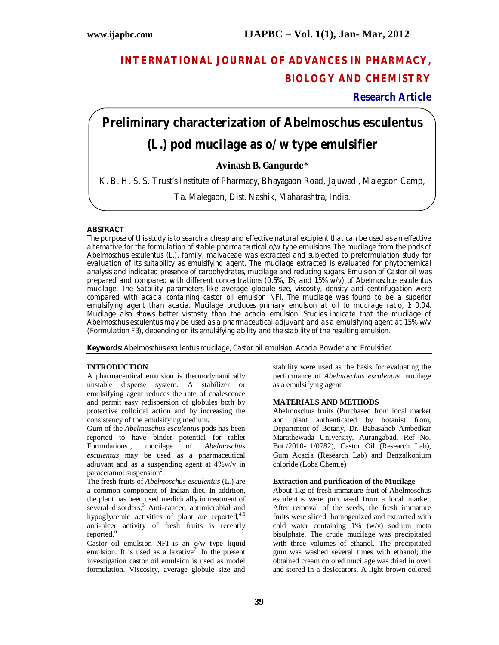## **INTERNATIONAL JOURNAL OF ADVANCES IN PHARMACY, BIOLOGY AND CHEMISTRY**

## **Research Article**

# **Preliminary characterization of** *Abelmoschus esculentus* **(L.) pod mucilage as o/w type emulsifier**

**\_\_\_\_\_\_\_\_\_\_\_\_\_\_\_\_\_\_\_\_\_\_\_\_\_\_\_\_\_\_\_\_\_\_\_\_\_\_\_\_\_\_\_\_\_\_\_\_\_\_\_\_\_\_\_\_\_\_\_\_\_\_\_\_\_\_\_\_\_\_\_\_\_\_**

## **Avinash B. Gangurde\***

K. B. H. S. S. Trust's Institute of Pharmacy, Bhayagaon Road, Jajuwadi, Malegaon Camp,

Ta. Malegaon, Dist. Nashik, Maharashtra, India.

#### **ABSTRACT**

The purpose of this study is to search a cheap and effective natural excipient that can be used as an effective alternative for the formulation of stable pharmaceutical o/w type emulsions. The mucilage from the pods of *Abelmoschus esculentus* (L.)*, f*amily, malvaceae was extracted and subjected to preformulation study for evaluation of its suitability as emulsifying agent. The mucilage extracted is evaluated for phytochemical analysis and indicated presence of carbohydrates, mucilage and reducing sugars. Emulsion of Castor oil was prepared and compared with different concentrations (0.5%, 1%, and 1.5% w/v) of *Abelmoschus esculentus*  mucilage. The Satbility parameters like average globule size, viscosity, density and centrifugation were compared with acacia containing castor oil emulsion NFI. The mucilage was found to be a superior emulsifying agent than acacia. Mucilage produces primary emulsion at oil to mucilage ratio, 1: 0.04. Mucilage also shows better viscosity than the acacia emulsion. Studies indicate that the mucilage of *Abelmoschus esculentus* may be used as a pharmaceutical adjuvant and as a emulsifying agent at 1.5% w/v (Formulation F3), depending on its emulsifying ability and the stability of the resulting emulsion.

**Keywords:** Abelmoschus esculentus mucilage, Castor oil emulsion, Acacia Powder and Emulsifier.

### **INTRODUCTION**

A pharmaceutical emulsion is thermodynamically unstable disperse system. A stabilizer or emulsifying agent reduces the rate of coalescence and permit easy redispersion of globules both by protective colloidal action and by increasing the consistency of the emulsifying medium.

Gum of the *Abelmoschus esculentus* pods has been reported to have binder potential for tablet Formulations<sup>1</sup>, mucilage of *Abelmoschus*  $F$ ormulations<sup>1</sup>, , mucilage of *Abelmoschus esculentus* may be used as a pharmaceutical adjuvant and as a suspending agent at 4%w/v in paracetamol suspension<sup>2</sup>.

The fresh fruits of *Abelmoschus esculentus* (L.) are a common component of Indian diet. In addition, the plant has been used medicinally in treatment of several disorders, <sup>3</sup> Anti-cancer, antimicrobial and hypoglycemic activities of plant are reported, 4,5 anti-ulcer activity of fresh fruits is recently reported. 6

Castor oil emulsion NFI is an o/w type liquid emulsion. It is used as a laxative<sup>7</sup>. In the present investigation castor oil emulsion is used as model formulation. Viscosity, average globule size and stability were used as the basis for evaluating the performance of *Abelmoschus esculentus* mucilage as a emulsifying agent*.*

#### **MATERIALS AND METHODS**

Abelmoschus fruits (Purchased from local market and plant authenticated by botanist from, Department of Botany, Dr. Babasaheb Ambedkar Marathewada University, Aurangabad, Ref No. Bot./2010-11/0782), Castor Oil (Research Lab), Gum Acacia (Research Lab) and Benzalkonium chloride (Loba Chemie)

#### **Extraction and purification of the Mucilage**

About 1kg of fresh immature fruit of Abelmoschus esculentus were purchased from a local market. After removal of the seeds, the fresh immature fruits were sliced, homogenized and extracted with cold water containing 1% (w/v) sodium meta bisulphate. The crude mucilage was precipitated with three volumes of ethanol. The precipitated gum was washed several times with ethanol; the obtained cream colored mucilage was dried in oven and stored in a desiccators. A light brown colored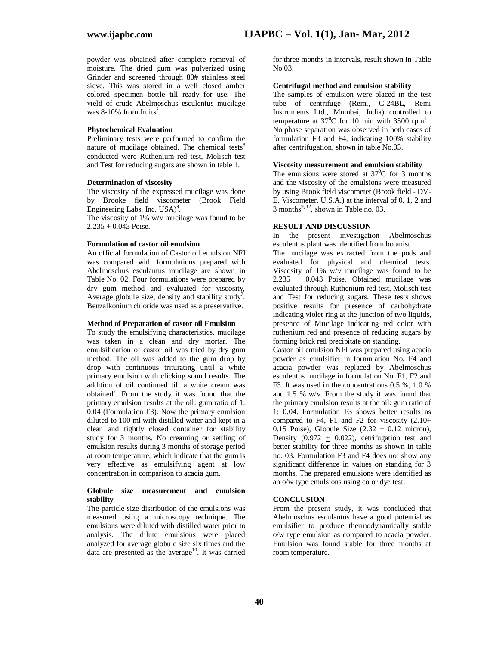**\_\_\_\_\_\_\_\_\_\_\_\_\_\_\_\_\_\_\_\_\_\_\_\_\_\_\_\_\_\_\_\_\_\_\_\_\_\_\_\_\_\_\_\_\_\_\_\_\_\_\_\_\_\_\_\_\_\_\_\_\_\_\_\_\_\_\_\_\_\_\_\_\_\_**

powder was obtained after complete removal of moisture. The dried gum was pulverized using Grinder and screened through 80# stainless steel sieve. This was stored in a well closed amber colored specimen bottle till ready for use. The yield of crude Abelmoschus esculentus mucilage was  $8-10\%$  from fruits<sup>2</sup>.

#### **Phytochemical Evaluation**

Preliminary tests were performed to confirm the nature of mucilage obtained. The chemical tests<sup>8</sup> conducted were Ruthenium red test, Molisch test and Test for reducing sugars are shown in table 1.

#### **Determination of viscosity**

The viscosity of the expressed mucilage was done by Brooke field viscometer (Brook Field Engineering Labs. Inc. USA)<sup>9</sup>.

The viscosity of 1% w/v mucilage was found to be  $2.235 \pm 0.043$  Poise.

#### **Formulation of castor oil emulsion**

An official formulation of Castor oil emulsion NFI was compared with formulations prepared with Abelmoschus esculantus mucilage are shown in Table No. 02. Four formulations were prepared by dry gum method and evaluated for viscosity, Average globule size, density and stability study<sup>7</sup>. Benzalkonium chloride was used as a preservative.

#### **Method of Preparation of castor oil Emulsion**

To study the emulsifying characteristics, mucilage was taken in a clean and dry mortar. The emulsification of castor oil was tried by dry gum method. The oil was added to the gum drop by drop with continuous triturating until a white primary emulsion with clicking sound results. The addition of oil continued till a white cream was obtained<sup>7</sup>. From the study it was found that the primary emulsion results at the oil: gum ratio of 1: 0.04 (Formulation F3). Now the primary emulsion diluted to 100 ml with distilled water and kept in a clean and tightly closed container for stability study for 3 months. No creaming or settling of emulsion results during 3 months of storage period at room temperature, which indicate that the gum is very effective as emulsifying agent at low concentration in comparison to acacia gum.

#### **Globule size measurement and emulsion stability**

The particle size distribution of the emulsions was measured using a microscopy technique. The emulsions were diluted with distilled water prior to analysis. The dilute emulsions were placed analyzed for average globule size six times and the data are presented as the average<sup>10</sup>. It was carried for three months in intervals, result shown in Table No.03.

#### **Centrifugal method and emulsion stability**

The samples of emulsion were placed in the test tube of centrifuge (Remi, C-24BL, Remi Instruments Ltd., Mumbai, India) controlled to temperature at  $37^0C$  for 10 min with 3500 rpm<sup>11</sup>. No phase separation was observed in both cases of formulation F3 and F4, indicating 100% stability after centrifugation, shown in table No.03.

#### **Viscosity measurement and emulsion stability**

The emulsions were stored at  $37^{\circ}$ C for 3 months and the viscosity of the emulsions were measured by using Brook field viscometer (Brook field - DV-E, Viscometer, U.S.A.) at the interval of 0, 1, 2 and  $3$  months<sup>9, 12</sup>, shown in Table no. 03.

#### **RESULT AND DISCUSSION**

In the present investigation Abelmoschus esculentus plant was identified from botanist.

The mucilage was extracted from the pods and evaluated for physical and chemical tests. Viscosity of 1% w/v mucilage was found to be  $2.235 + 0.043$  Poise. Obtained mucilage was evaluated through Ruthenium red test, Molisch test and Test for reducing sugars. These tests shows positive results for presence of carbohydrate indicating violet ring at the junction of two liquids, presence of Mucilage indicating red color with ruthenium red and presence of reducing sugars by forming brick red precipitate on standing.

Castor oil emulsion NFI was prepared using acacia powder as emulsifier in formulation No. F4 and acacia powder was replaced by Abelmoschus esculentus mucilage in formulation No. F1, F2 and F3. It was used in the concentrations 0.5 %, 1.0 % and 1.5 % w/v. From the study it was found that the primary emulsion results at the oil: gum ratio of 1: 0.04. Formulation F3 shows better results as compared to F4, F1 and F2 for viscosity  $(2.10+$ 0.15 Poise), Globule Size  $(2.32 + 0.12$  micron), Density  $(0.972 + 0.022)$ , cetrifugation test and better stability for three months as shown in table no. 03. Formulation F3 and F4 does not show any significant difference in values on standing for 3 months. The prepared emulsions were identified as an o/w type emulsions using color dye test.

#### **CONCLUSION**

From the present study, it was concluded that Abelmoschus esculantus have a good potential as emulsifier to produce thermodynamically stable o/w type emulsion as compared to acacia powder. Emulsion was found stable for three months at room temperature.